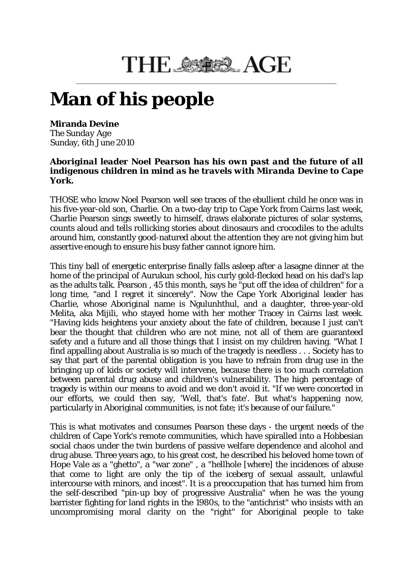## THE SACE AGE

## **Man of his people**

## **Miranda Devine**

The *Sunday Age* Sunday, 6th June 2010

## *Aboriginal leader Noel Pearson has his own past and the future of all indigenous children in mind as he travels with Miranda Devine to Cape York.*

THOSE who know Noel Pearson well see traces of the ebullient child he once was in his five-year-old son, Charlie. On a two-day trip to Cape York from Cairns last week, Charlie Pearson sings sweetly to himself, draws elaborate pictures of solar systems, counts aloud and tells rollicking stories about dinosaurs and crocodiles to the adults around him, constantly good-natured about the attention they are not giving him but assertive enough to ensure his busy father cannot ignore him.

This tiny ball of energetic enterprise finally falls asleep after a lasagne dinner at the home of the principal of Aurukun school, his curly gold-flecked head on his dad's lap as the adults talk. Pearson , 45 this month, says he "put off the idea of children" for a long time, "and I regret it sincerely". Now the Cape York Aboriginal leader has Charlie, whose Aboriginal name is Ngulunhthul, and a daughter, three-year-old Melita, aka Mijili, who stayed home with her mother Tracey in Cairns last week. "Having kids heightens your anxiety about the fate of children, because I just can't bear the thought that children who are not mine, not all of them are guaranteed safety and a future and all those things that I insist on my children having. "What I find appalling about Australia is so much of the tragedy is needless . . . Society has to say that part of the parental obligation is you have to refrain from drug use in the bringing up of kids or society will intervene, because there is too much correlation between parental drug abuse and children's vulnerability. The high percentage of tragedy is within our means to avoid and we don't avoid it. "If we were concerted in our efforts, we could then say, 'Well, that's fate'. But what's happening now, particularly in Aboriginal communities, is not fate; it's because of our failure."

This is what motivates and consumes Pearson these days - the urgent needs of the children of Cape York's remote communities, which have spiralled into a Hobbesian social chaos under the twin burdens of passive welfare dependence and alcohol and drug abuse. Three years ago, to his great cost, he described his beloved home town of Hope Vale as a "ghetto", a "war zone" , a "hellhole [where] the incidences of abuse that come to light are only the tip of the iceberg of sexual assault, unlawful intercourse with minors, and incest". It is a preoccupation that has turned him from the self-described "pin-up boy of progressive Australia" when he was the young barrister fighting for land rights in the 1980s, to the "antichrist" who insists with an uncompromising moral clarity on the "right" for Aboriginal people to take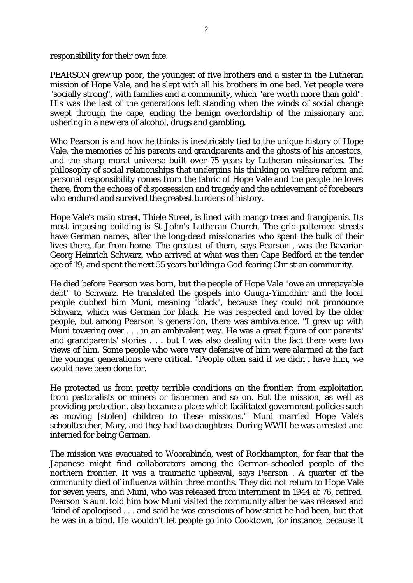responsibility for their own fate.

PEARSON grew up poor, the youngest of five brothers and a sister in the Lutheran mission of Hope Vale, and he slept with all his brothers in one bed. Yet people were "socially strong", with families and a community, which "are worth more than gold". His was the last of the generations left standing when the winds of social change swept through the cape, ending the benign overlordship of the missionary and ushering in a new era of alcohol, drugs and gambling.

Who Pearson is and how he thinks is inextricably tied to the unique history of Hope Vale, the memories of his parents and grandparents and the ghosts of his ancestors, and the sharp moral universe built over 75 years by Lutheran missionaries. The philosophy of social relationships that underpins his thinking on welfare reform and personal responsibility comes from the fabric of Hope Vale and the people he loves there, from the echoes of dispossession and tragedy and the achievement of forebears who endured and survived the greatest burdens of history.

Hope Vale's main street, Thiele Street, is lined with mango trees and frangipanis. Its most imposing building is St John's Lutheran Church. The grid-patterned streets have German names, after the long-dead missionaries who spent the bulk of their lives there, far from home. The greatest of them, says Pearson , was the Bavarian Georg Heinrich Schwarz, who arrived at what was then Cape Bedford at the tender age of 19, and spent the next 55 years building a God-fearing Christian community.

He died before Pearson was born, but the people of Hope Vale "owe an unrepayable debt" to Schwarz. He translated the gospels into Guugu-Yimidhirr and the local people dubbed him Muni, meaning "black", because they could not pronounce Schwarz, which was German for black. He was respected and loved by the older people, but among Pearson 's generation, there was ambivalence. "I grew up with Muni towering over . . . in an ambivalent way. He was a great figure of our parents' and grandparents' stories . . . but I was also dealing with the fact there were two views of him. Some people who were very defensive of him were alarmed at the fact the younger generations were critical. "People often said if we didn't have him, we would have been done for.

He protected us from pretty terrible conditions on the frontier; from exploitation from pastoralists or miners or fishermen and so on. But the mission, as well as providing protection, also became a place which facilitated government policies such as moving [stolen] children to these missions." Muni married Hope Vale's schoolteacher, Mary, and they had two daughters. During WWII he was arrested and interned for being German.

The mission was evacuated to Woorabinda, west of Rockhampton, for fear that the Japanese might find collaborators among the German-schooled people of the northern frontier. It was a traumatic upheaval, says Pearson . A quarter of the community died of influenza within three months. They did not return to Hope Vale for seven years, and Muni, who was released from internment in 1944 at 76, retired. Pearson 's aunt told him how Muni visited the community after he was released and "kind of apologised . . . and said he was conscious of how strict he had been, but that he was in a bind. He wouldn't let people go into Cooktown, for instance, because it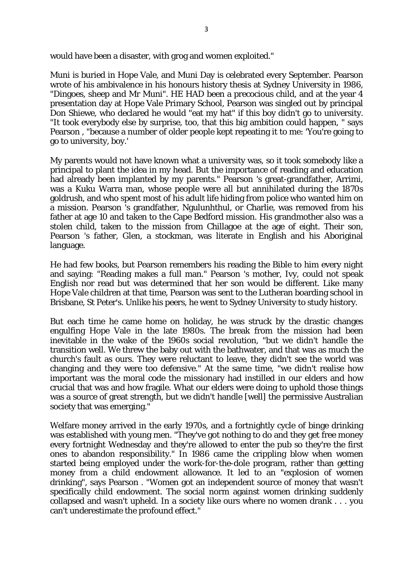would have been a disaster, with grog and women exploited."

Muni is buried in Hope Vale, and Muni Day is celebrated every September. Pearson wrote of his ambivalence in his honours history thesis at Sydney University in 1986, "Dingoes, sheep and Mr Muni". HE HAD been a precocious child, and at the year 4 presentation day at Hope Vale Primary School, Pearson was singled out by principal Don Shiewe, who declared he would "eat my hat" if this boy didn't go to university. "It took everybody else by surprise, too, that this big ambition could happen, " says Pearson , "because a number of older people kept repeating it to me: 'You're going to go to university, boy.'

My parents would not have known what a university was, so it took somebody like a principal to plant the idea in my head. But the importance of reading and education had already been implanted by my parents." Pearson 's great-grandfather, Arrimi, was a Kuku Warra man, whose people were all but annihilated during the 1870s goldrush, and who spent most of his adult life hiding from police who wanted him on a mission. Pearson 's grandfather, Ngulunhthul, or Charlie, was removed from his father at age 10 and taken to the Cape Bedford mission. His grandmother also was a stolen child, taken to the mission from Chillagoe at the age of eight. Their son, Pearson 's father, Glen, a stockman, was literate in English and his Aboriginal language.

He had few books, but Pearson remembers his reading the Bible to him every night and saying: "Reading makes a full man." Pearson 's mother, Ivy, could not speak English nor read but was determined that her son would be different. Like many Hope Vale children at that time, Pearson was sent to the Lutheran boarding school in Brisbane, St Peter's. Unlike his peers, he went to Sydney University to study history.

But each time he came home on holiday, he was struck by the drastic changes engulfing Hope Vale in the late 1980s. The break from the mission had been inevitable in the wake of the 1960s social revolution, "but we didn't handle the transition well. We threw the baby out with the bathwater, and that was as much the church's fault as ours. They were reluctant to leave, they didn't see the world was changing and they were too defensive." At the same time, "we didn't realise how important was the moral code the missionary had instilled in our elders and how crucial that was and how fragile. What our elders were doing to uphold those things was a source of great strength, but we didn't handle [well] the permissive Australian society that was emerging."

Welfare money arrived in the early 1970s, and a fortnightly cycle of binge drinking was established with young men. "They've got nothing to do and they get free money every fortnight Wednesday and they're allowed to enter the pub so they're the first ones to abandon responsibility." In 1986 came the crippling blow when women started being employed under the work-for-the-dole program, rather than getting money from a child endowment allowance. It led to an "explosion of women drinking", says Pearson . "Women got an independent source of money that wasn't specifically child endowment. The social norm against women drinking suddenly collapsed and wasn't upheld. In a society like ours where no women drank . . . you can't underestimate the profound effect."